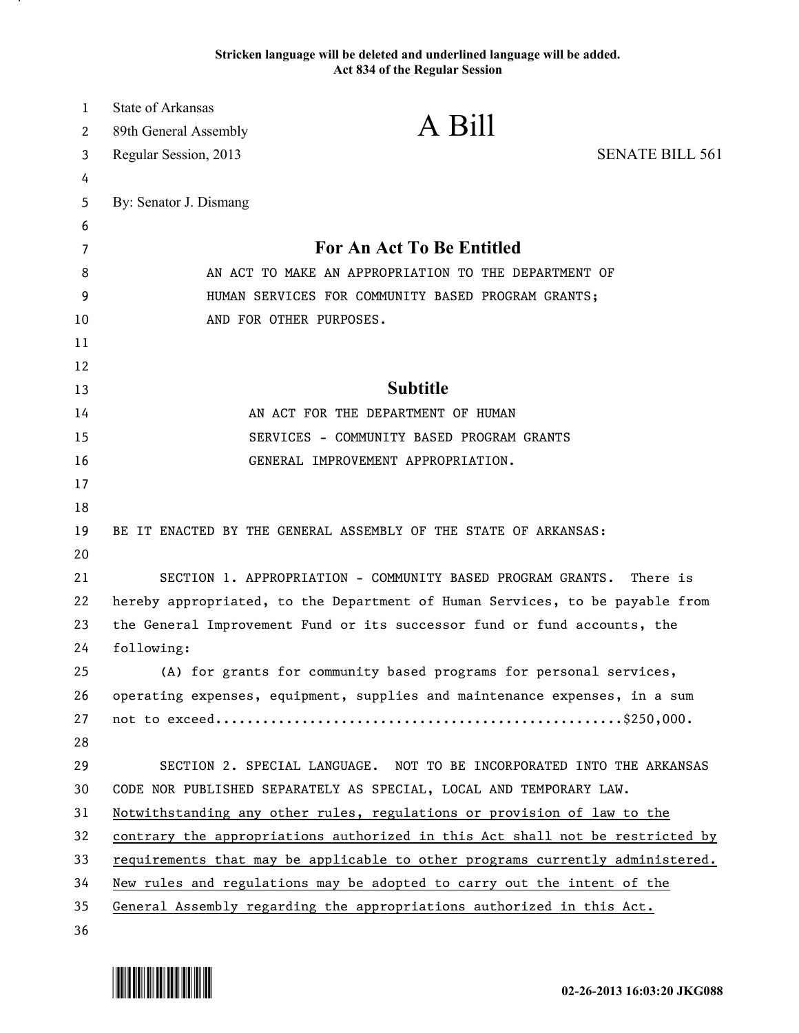## **Stricken language will be deleted and underlined language will be added. Act 834 of the Regular Session**

| $\mathbf{1}$ | <b>State of Arkansas</b>                                                 |                                                                               |                        |
|--------------|--------------------------------------------------------------------------|-------------------------------------------------------------------------------|------------------------|
| 2            | 89th General Assembly                                                    | A Bill                                                                        |                        |
| 3            | Regular Session, 2013                                                    |                                                                               | <b>SENATE BILL 561</b> |
| 4            |                                                                          |                                                                               |                        |
| 5            | By: Senator J. Dismang                                                   |                                                                               |                        |
| 6            |                                                                          |                                                                               |                        |
| 7            |                                                                          | <b>For An Act To Be Entitled</b>                                              |                        |
| 8            | AN ACT TO MAKE AN APPROPRIATION TO THE DEPARTMENT OF                     |                                                                               |                        |
| 9            | HUMAN SERVICES FOR COMMUNITY BASED PROGRAM GRANTS;                       |                                                                               |                        |
| 10           |                                                                          | AND FOR OTHER PURPOSES.                                                       |                        |
| 11           |                                                                          |                                                                               |                        |
| 12           |                                                                          | <b>Subtitle</b>                                                               |                        |
| 13           |                                                                          |                                                                               |                        |
| 14           |                                                                          | AN ACT FOR THE DEPARTMENT OF HUMAN                                            |                        |
| 15<br>16     |                                                                          | SERVICES - COMMUNITY BASED PROGRAM GRANTS                                     |                        |
| 17           |                                                                          | GENERAL IMPROVEMENT APPROPRIATION.                                            |                        |
| 18           |                                                                          |                                                                               |                        |
| 19           |                                                                          | BE IT ENACTED BY THE GENERAL ASSEMBLY OF THE STATE OF ARKANSAS:               |                        |
| 20           |                                                                          |                                                                               |                        |
| 21           |                                                                          | SECTION 1. APPROPRIATION - COMMUNITY BASED PROGRAM GRANTS.                    | There is               |
| 22           |                                                                          | hereby appropriated, to the Department of Human Services, to be payable from  |                        |
| 23           | the General Improvement Fund or its successor fund or fund accounts, the |                                                                               |                        |
| 24           | following:                                                               |                                                                               |                        |
| 25           |                                                                          | (A) for grants for community based programs for personal services,            |                        |
| 26           |                                                                          | operating expenses, equipment, supplies and maintenance expenses, in a sum    |                        |
| 27           |                                                                          |                                                                               |                        |
| 28           |                                                                          |                                                                               |                        |
| 29           |                                                                          | SECTION 2. SPECIAL LANGUAGE. NOT TO BE INCORPORATED INTO THE ARKANSAS         |                        |
| 30           |                                                                          | CODE NOR PUBLISHED SEPARATELY AS SPECIAL, LOCAL AND TEMPORARY LAW.            |                        |
| 31           |                                                                          | Notwithstanding any other rules, regulations or provision of law to the       |                        |
| 32           |                                                                          | contrary the appropriations authorized in this Act shall not be restricted by |                        |
| 33           |                                                                          | requirements that may be applicable to other programs currently administered. |                        |
| 34           |                                                                          | New rules and regulations may be adopted to carry out the intent of the       |                        |
| 35           |                                                                          | General Assembly regarding the appropriations authorized in this Act.         |                        |
| 36           |                                                                          |                                                                               |                        |



.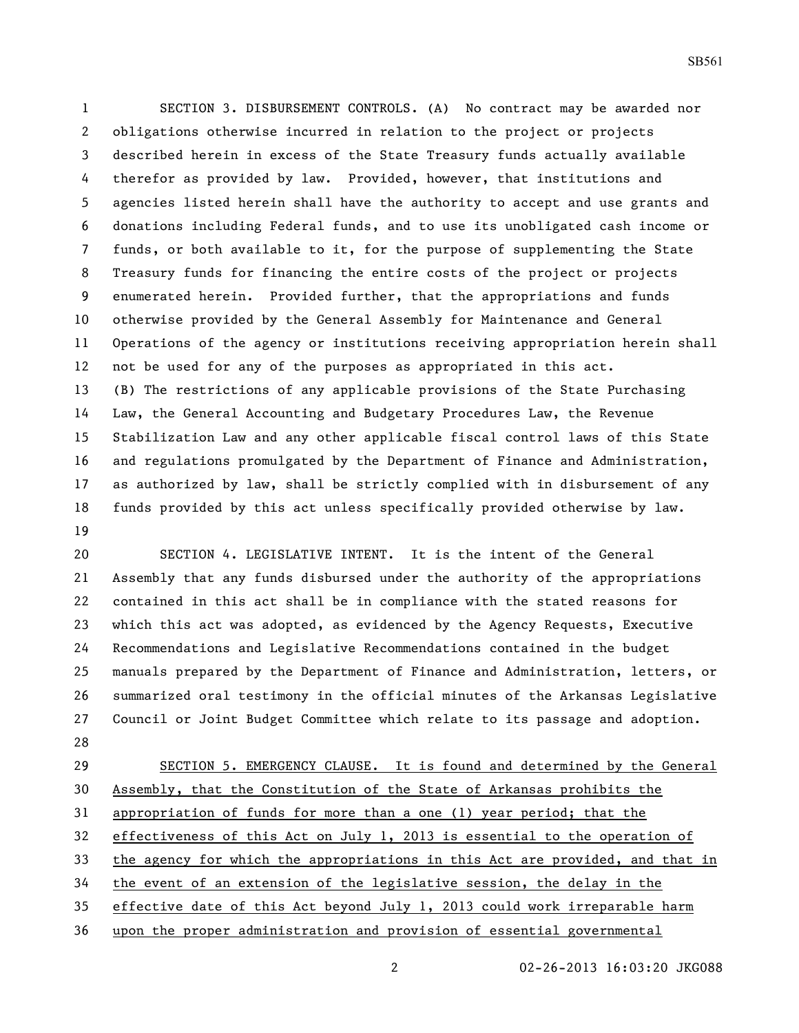SECTION 3. DISBURSEMENT CONTROLS. (A) No contract may be awarded nor obligations otherwise incurred in relation to the project or projects described herein in excess of the State Treasury funds actually available therefor as provided by law. Provided, however, that institutions and agencies listed herein shall have the authority to accept and use grants and donations including Federal funds, and to use its unobligated cash income or funds, or both available to it, for the purpose of supplementing the State Treasury funds for financing the entire costs of the project or projects enumerated herein. Provided further, that the appropriations and funds otherwise provided by the General Assembly for Maintenance and General Operations of the agency or institutions receiving appropriation herein shall not be used for any of the purposes as appropriated in this act. (B) The restrictions of any applicable provisions of the State Purchasing Law, the General Accounting and Budgetary Procedures Law, the Revenue Stabilization Law and any other applicable fiscal control laws of this State and regulations promulgated by the Department of Finance and Administration, as authorized by law, shall be strictly complied with in disbursement of any funds provided by this act unless specifically provided otherwise by law. 

 SECTION 4. LEGISLATIVE INTENT. It is the intent of the General Assembly that any funds disbursed under the authority of the appropriations contained in this act shall be in compliance with the stated reasons for which this act was adopted, as evidenced by the Agency Requests, Executive Recommendations and Legislative Recommendations contained in the budget manuals prepared by the Department of Finance and Administration, letters, or summarized oral testimony in the official minutes of the Arkansas Legislative Council or Joint Budget Committee which relate to its passage and adoption. 

 SECTION 5. EMERGENCY CLAUSE. It is found and determined by the General Assembly, that the Constitution of the State of Arkansas prohibits the appropriation of funds for more than a one (1) year period; that the effectiveness of this Act on July 1, 2013 is essential to the operation of the agency for which the appropriations in this Act are provided, and that in the event of an extension of the legislative session, the delay in the effective date of this Act beyond July 1, 2013 could work irreparable harm upon the proper administration and provision of essential governmental

02-26-2013 16:03:20 JKG088